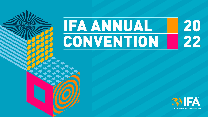# 20<br>22 **IFA ANNUAL** CONVENTION

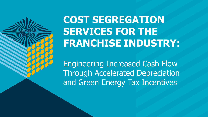

# **COST SEGREGATION SERVICES FOR THE FRANCHISE INDUSTRY:**

Engineering Increased Cash Flow Through Accelerated Depreciation and Green Energy Tax Incentives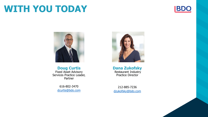### **WITH YOU TODAY**





**Doug Curtis** Fixed Asset Advisory Services Practice Leader, Partner

> 616-802-3470 [dcurtis@bdo.com](mailto:dcurtis@bdo.com)



**Dana Zukofsky** Restaurant Industry Practice Director

212-885-7236 [dzukofsky@bdo.com](mailto:dzukofsky@bdo.com)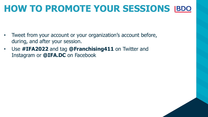## **HOW TO PROMOTE YOUR SESSIONS**

- Tweet from your account or your organization's account before, during, and after your session.
- Use **#IFA2022** and tag **@Franchising411** on Twitter and Instagram or **@IFA.DC** on Facebook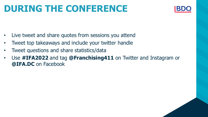## **DURING THE CONFERENCE**



- Live tweet and share quotes from sessions you attend
- Tweet top takeaways and include your twitter handle
- Tweet questions and share statistics/data
- Use **#IFA2022** and tag **@Franchising411** on Twitter and Instagram or **@IFA.DC** on Facebook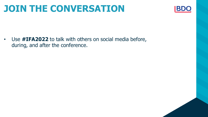## **JOIN THE CONVERSATION**



• Use **#IFA2022** to talk with others on social media before, during, and after the conference.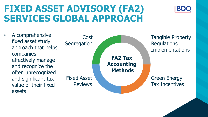## **FIXED ASSET ADVISORY (FA2) SERVICES GLOBAL APPROACH**

• A comprehensive fixed asset study approach that helps companies effectively manage and recognize the often unrecognized and significant tax value of their fixed assets



**BD**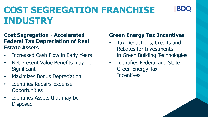# **COST SEGREGATION FRANCHISE INDUSTRY**



#### **Cost Segregation - Accelerated Federal Tax Depreciation of Real Estate Assets**

- Increased Cash Flow in Early Years
- Net Present Value Benefits may be **Significant**
- Maximizes Bonus Depreciation
- Identifies Repairs Expense **Opportunities**
- Identifies Assets that may be **Disposed**

#### **Green Energy Tax Incentives**

- Tax Deductions, Credits and Rebates for Investments in Green Building Technologies
- Identifies Federal and State Green Energy Tax **Incentives**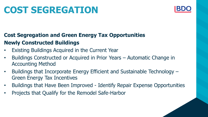## **COST SEGREGATION**



#### **Cost Segregation and Green Energy Tax Opportunities Newly Constructed Buildings**

- Existing Buildings Acquired in the Current Year
- Buildings Constructed or Acquired in Prior Years Automatic Change in Accounting Method
- Buildings that Incorporate Energy Efficient and Sustainable Technology Green Energy Tax Incentives
- Buildings that Have Been Improved Identify Repair Expense Opportunities
- Projects that Qualify for the Remodel Safe-Harbor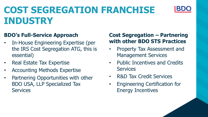# **COST SEGREGATION FRANCHISE INDUSTRY**



- In-House Engineering Expertise (per the IRS Cost Segregation ATG, this is essential)
- Real Estate Tax Expertise
- Accounting Methods Expertise
- Partnering Opportunities with other BDO USA, LLP Specialized Tax **Services**

#### **Cost Segregation – Partnering with other BDO STS Practices**

- Property Tax Assessment and Management Services
- Public Incentives and Credits **Services**
- R&D Tax Credit Services
- Engineering Certification for Energy Incentives

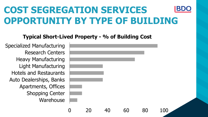# **COST SEGREGATION SERVICES OPPORTUNITY BY TYPE OF BUILDING**

#### **Typical Short-Lived Property - % of Building Cost**

**Warehouse** Shopping Center Apartments, Offices Auto Dealerships, Banks Hotels and Restaurants Light Manufacturing Heavy Manufacturing Research Centers Specialized Manufacturing

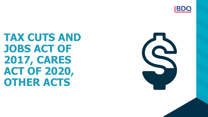



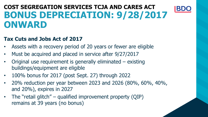### **COST SEGREGATION SERVICES TCJA AND CARES ACT BONUS DEPRECIATION: 9/28/2017 ONWARD**

#### **Tax Cuts and Jobs Act of 2017**

- Assets with a recovery period of 20 years or fewer are eligible
- Must be acquired and placed in service after 9/27/2017
- Original use requirement is generally eliminated existing buildings/equipment are eligible
- 100% bonus for 2017 (post Sept. 27) through 2022
- 20% reduction per year between 2023 and 2026 (80%, 60%, 40%, and 20%), expires in 2027
- The "retail glitch" qualified improvement property (QIP) remains at 39 years (no bonus)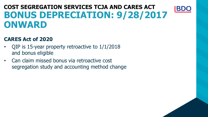### **COST SEGREGATION SERVICES TCJA AND CARES ACT BONUS DEPRECIATION: 9/28/2017 ONWARD**

עכן

#### **CARES Act of 2020**

- QIP is 15-year property retroactive to 1/1/2018 and bonus eligible
- Can claim missed bonus via retroactive cost segregation study and accounting method change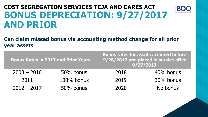### **COST SEGREGATION SERVICES TCJA AND CARES ACT BONUS DEPRECIATION: 9/27/2017 AND PRIOR**

**BDC** 

#### **Can claim missed bonus via accounting method change for all prior year assets**

| <b>Bonus Rates in 2017 and Prior Years</b> |            | <b>Bonus rates for assets acquired before</b><br>9/28/2017 and placed in service after<br>9/27/2017 |           |
|--------------------------------------------|------------|-----------------------------------------------------------------------------------------------------|-----------|
| $2008 - 2010$                              | 50% bonus  | 2018                                                                                                | 40% bonus |
| 2011                                       | 100% bonus | 2019                                                                                                | 30% bonus |
| $2012 - 2017$                              | 50% bonus  | 2020                                                                                                | No bonus  |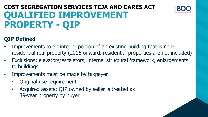

#### **QIP Defined**

- Improvements to an interior portion of an existing building that is nonresidential real property (2016 onward, residential properties are not included)
- Exclusions: elevators/escalators, internal structural framework, enlargements to buildings
- Improvements must be made by taxpayer
	- Original use requirement
	- Acquired assets: QIP owned by seller is treated as 39-year property by buyer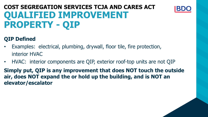

#### **QIP Defined**

- Examples: electrical, plumbing, drywall, floor tile, fire protection, interior HVAC
- HVAC: interior components are QIP, exterior roof-top units are not QIP
- **Simply put, QIP is any improvement that does NOT touch the outside air, does NOT expand the or hold up the building, and is NOT an elevator/escalator**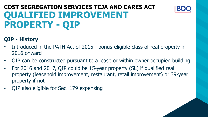

#### **QIP - History**

- Introduced in the PATH Act of 2015 bonus-eligible class of real property in 2016 onward
- QIP can be constructed pursuant to a lease or within owner occupied building
- For 2016 and 2017, QIP could be 15-year property (SL) if qualified real property (leasehold improvement, restaurant, retail improvement) or 39-year property if not
- QIP also eligible for Sec. 179 expensing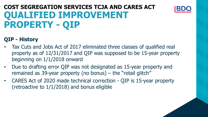

#### **QIP - History**

- Tax Cuts and Jobs Act of 2017 eliminated three classes of qualified real property as of 12/31/2017 and QIP was supposed to be 15-year property beginning on 1/1/2018 onward
- Due to drafting error QIP was not designated as 15-year property and remained as 39-year property (no bonus) – the "retail glitch"
- CARES Act of 2020 made technical correction QIP is 15-year property (retroactive to 1/1/2018) and bonus eligible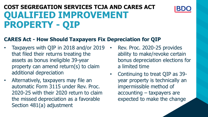

#### **CARES Act - How Should Taxpayers Fix Depreciation for QIP**

- Taxpayers with QIP in 2018 and/or 2019 that filed their returns treating the assets as bonus ineligible 39-year property can amend return(s) to claim additional depreciation
- Alternatively, taxpayers may file an automatic Form 3115 under Rev. Proc. 2020-25 with their 2020 return to claim the missed depreciation as a favorable Section 481(a) adjustment
- Rev. Proc. 2020-25 provides ability to make/revoke certain bonus depreciation elections for a limited time
- Continuing to treat QIP as 39 year property is technically an impermissible method of accounting – taxpayers are expected to make the change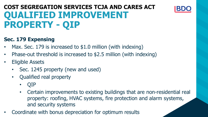

#### **Sec. 179 Expensing**

- Max. Sec. 179 is increased to \$1.0 million (with indexing)
- Phase-out threshold is increased to \$2.5 million (with indexing)
- **Eligible Assets** 
	- Sec. 1245 property (new and used)
	- Qualified real property
		- QIP
		- Certain improvements to existing buildings that are non-residential real property: roofing, HVAC systems, fire protection and alarm systems, and security systems
- Coordinate with bonus depreciation for optimum results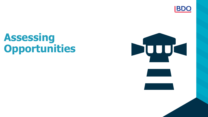

# **Assessing Opportunities**



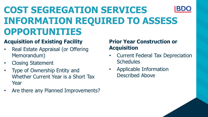# **COST SEGREGATION SERVICES INFORMATION REQUIRED TO ASSESS OPPORTUNITIES**

#### **Acquisition of Existing Facility**

- Real Estate Appraisal (or Offering Memorandum)
- Closing Statement
- Type of Ownership Entity and Whether Current Year is a Short Tax Year
- Are there any Planned Improvements?

#### **Prior Year Construction or Acquisition**

- Current Federal Tax Depreciation **Schedules**
- Applicable Information Described Above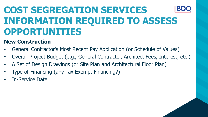# **COST SEGREGATION SERVICES INFORMATION REQUIRED TO ASSESS OPPORTUNITIES**

#### **New Construction**

- General Contractor's Most Recent Pay Application (or Schedule of Values)
- Overall Project Budget (e.g., General Contractor, Architect Fees, Interest, etc.)
- A Set of Design Drawings (or Site Plan and Architectural Floor Plan)
- Type of Financing (any Tax Exempt Financing?)
- In-Service Date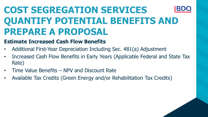# **COST SEGREGATION SERVICES QUANTIFY POTENTIAL BENEFITS AND PREPARE A PROPOSAL**

#### **Estimate Increased Cash Flow Benefits**

- Additional First-Year Depreciation Including Sec. 481(a) Adjustment
- Increased Cash Flow Benefits in Early Years (Applicable Federal and State Tax Rate)
- Time Value Benefits NPV and Discount Rate
- Available Tax Credits (Green Energy and/or Rehabilitation Tax Credits)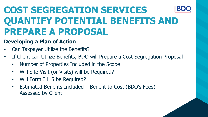# **COST SEGREGATION SERVICES QUANTIFY POTENTIAL BENEFITS AND PREPARE A PROPOSAL**

#### **Developing a Plan of Action**

- Can Taxpayer Utilize the Benefits?
- If Client can Utilize Benefits, BDO will Prepare a Cost Segregation Proposal
	- Number of Properties Included in the Scope
	- Will Site Visit (or Visits) will be Required?
	- Will Form 3115 be Required?
	- Estimated Benefits Included Benefit-to-Cost (BDO's Fees) Assessed by Client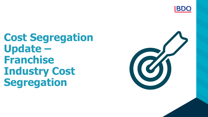

**Cost Segregation Update – Franchise Industry Cost Segregation** 

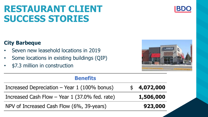## **RESTAURANT CLIENT SUCCESS STORIES**

#### **City Barbeque**

- Seven new leasehold locations in 2019
- Some locations in existing buildings (QIP)
- \$7.3 million in construction



| Increased Depreciation - Year 1 (100% bonus)     | \$4,072,000 |
|--------------------------------------------------|-------------|
| Increased Cash Flow $-$ Year 1 (37.0% fed. rate) | 1,506,000   |
| NPV of Increased Cash Flow (6%, 39-years)        | 923,000     |



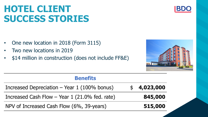## **HOTEL CLIENT SUCCESS STORIES**

- One new location in 2018 (Form 3115)
- Two new locations in 2019
- \$14 million in construction (does not include FF&E)



| <b>Benefits</b>                                |             |  |
|------------------------------------------------|-------------|--|
| Increased Depreciation $-$ Year 1 (100% bonus) | \$4,023,000 |  |
| Increased Cash Flow - Year 1 (21.0% fed. rate) | 845,000     |  |
| NPV of Increased Cash Flow (6%, 39-years)      | 515,000     |  |

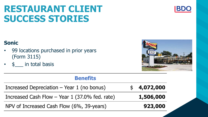## **RESTAURANT CLIENT SUCCESS STORIES**

#### **Sonic**

- 99 locations purchased in prior years (Form 3115)
- \$\_\_\_ in total basis



#### **Benefits**

| Increased Depreciation - Year 1 (no bonus)     |  | \$4,072,000 |
|------------------------------------------------|--|-------------|
| Increased Cash Flow - Year 1 (37.0% fed. rate) |  | 1,506,000   |
| NPV of Increased Cash Flow (6%, 39-years)      |  | 923,000     |